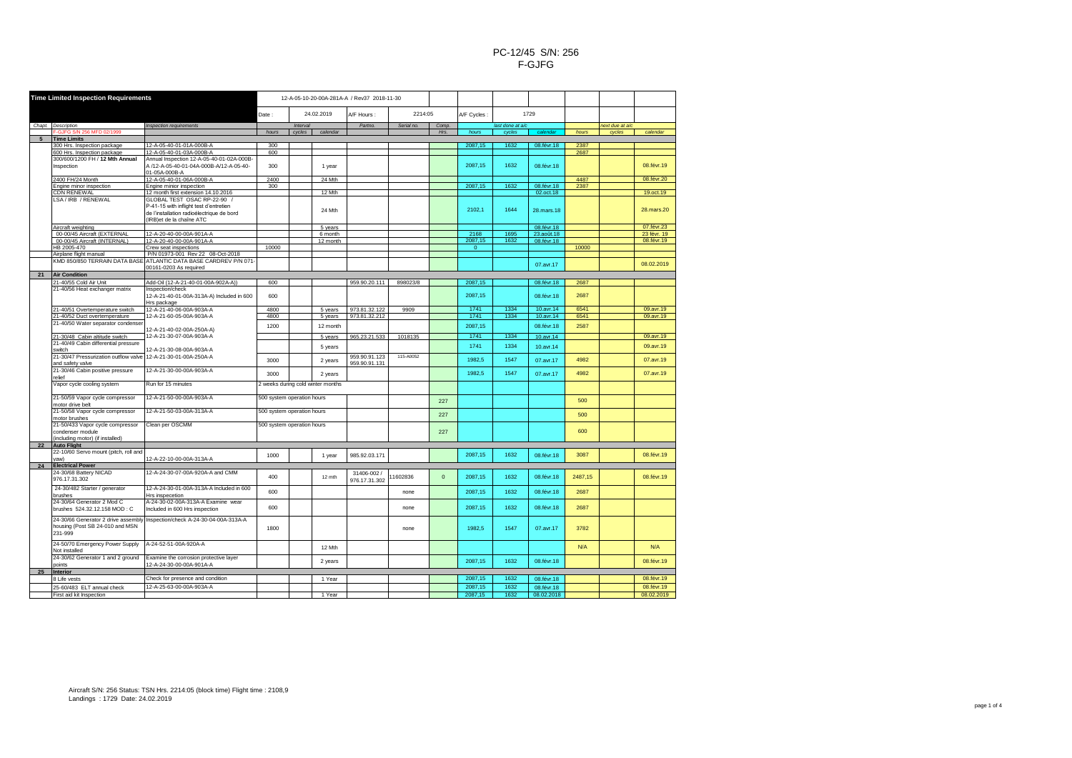| <b>Time Limited Inspection Requirements</b> |                                                                                          |                                                                                                                                                                                       |                            |        | 12-A-05-10-20-00A-281A-A / Rev37 2018-11-30 |                                |           |             |                  |        |                         |                 |        |                         |
|---------------------------------------------|------------------------------------------------------------------------------------------|---------------------------------------------------------------------------------------------------------------------------------------------------------------------------------------|----------------------------|--------|---------------------------------------------|--------------------------------|-----------|-------------|------------------|--------|-------------------------|-----------------|--------|-------------------------|
|                                             |                                                                                          |                                                                                                                                                                                       | 24.02.2019<br>Date:        |        | A/F Hours :                                 | 2214:05                        |           | A/F Cycles: | 1729             |        |                         |                 |        |                         |
|                                             | Chapt. Description                                                                       | Inspection requirements                                                                                                                                                               | Interval                   |        | Partno.                                     | Serial no.                     | Comp.     |             | last done at a/c |        |                         | next due at a/c |        |                         |
|                                             | F-GJFG S/N 256 MFD 02/1999                                                               |                                                                                                                                                                                       | hours                      | cycles | calendar                                    |                                |           | Hrs.        | hours            | cycles | calendar                | hours           | cycles | calendar                |
|                                             | <b>Time Limits</b>                                                                       |                                                                                                                                                                                       |                            |        |                                             |                                |           |             |                  |        |                         |                 |        |                         |
|                                             | 300 Hrs. Inspection package                                                              | 12-A-05-40-01-01A-000B-A                                                                                                                                                              | 300                        |        |                                             |                                |           |             | 2087.15          | 1632   | 08.févr.18              | 2387            |        |                         |
|                                             | 600 Hrs. Inspection package                                                              | 12-A-05-40-01-03A-000B-A                                                                                                                                                              | 600                        |        |                                             |                                |           |             |                  |        |                         | 2687            |        |                         |
|                                             | 300/600/1200 FH / 12 Mth Annual<br>Inspection                                            | Annual Inspection 12-A-05-40-01-02A-000B-<br>A /12-A-05-40-01-04A-000B-A/12-A-05-40-<br>01-05A-000B-A                                                                                 | 300                        |        | 1 year                                      |                                |           |             | 2087.15          | 1632   | 08.févr.18              |                 |        | 08.févr.19              |
|                                             | 2400 FH/24 Month                                                                         | 12-A-05-40-01-06A-000B-A                                                                                                                                                              | 2400                       |        | 24 Mth                                      |                                |           |             |                  |        |                         | 4487            |        | 08.févr.20              |
|                                             | Engine minor inspection                                                                  | Engine minior inspection                                                                                                                                                              | 300                        |        |                                             |                                |           |             | 2087,15          | 1632   | 08.févr.18              | 2387            |        |                         |
|                                             | CDN RENEWAL<br>LSA / IRB / RENEWAL                                                       | 12 month first extension 14.10.2016<br>GLOBAL TEST OSAC RP-22-90 /<br>P-41-15 with inflight test d'entretien<br>de l'installation radioélectrique de bord<br>(IRB)et de la chaîne ATC |                            |        | 12 Mth<br>24 Mth                            |                                |           |             | 2102,1           | 1644   | 02.oct.18<br>28.mars.18 |                 |        | 19.oct.19<br>28.mars.20 |
|                                             | Aircraft weighting                                                                       |                                                                                                                                                                                       |                            |        | 5 years                                     |                                |           |             |                  |        | 08.févr.18              |                 |        | 07.févr.23              |
|                                             | 00-00/45 Aircraft (EXTERNAL                                                              | 12-A-20-40-00-00A-901A-A                                                                                                                                                              |                            |        | 6 month                                     |                                |           |             | 2168             | 1695   | 23.août.18              |                 |        | 23 févr. 19             |
|                                             | 00-00/45 Aircraft (INTERNAL)                                                             | 12-A-20-40-00-00A-901A-A                                                                                                                                                              |                            |        | 12 month                                    |                                |           |             | 2087,15          | 1632   | 08.févr.18              |                 |        | 08.févr.19              |
|                                             | HB 2005-470                                                                              | Crew seat inspections                                                                                                                                                                 | 10000                      |        |                                             |                                |           |             | $\Omega$         |        |                         | 10000           |        |                         |
|                                             | Airplane flight manual                                                                   | P/N 01973-001 Rev 22 08-Oct-2018                                                                                                                                                      |                            |        |                                             |                                |           |             |                  |        |                         |                 |        |                         |
|                                             |                                                                                          | KMD 850/850 TERRAIN DATA BASE ATLANTIC DATA BASE CARDREV P/N 071-                                                                                                                     |                            |        |                                             |                                |           |             |                  |        |                         |                 |        |                         |
|                                             |                                                                                          | 00161-0203 As required                                                                                                                                                                |                            |        |                                             |                                |           |             |                  |        | 07.avr.17               |                 |        | 08.02.2019              |
| 21                                          | <b>Air Condition</b>                                                                     |                                                                                                                                                                                       |                            |        |                                             |                                |           |             |                  |        |                         |                 |        |                         |
|                                             | 21-40/55 Cold Air Unit                                                                   | Add-Oil (12-A-21-40-01-00A-902A-A))                                                                                                                                                   | 600                        |        |                                             | 959.90.20.111                  | 898023/8  |             | 2087,15          |        | 08.févr.18              | 2687            |        |                         |
|                                             | 21-40/56 Heat exchanger matrix                                                           | Inspection/check                                                                                                                                                                      |                            |        |                                             |                                |           |             |                  |        |                         |                 |        |                         |
|                                             |                                                                                          | 12-A-21-40-01-00A-313A-A) Included in 600<br>Hrs package                                                                                                                              | 600                        |        |                                             |                                |           |             | 2087.15          |        | 08.févr.18              | 2687            |        |                         |
|                                             | 21-40/51 Overtemperature switch                                                          | 12-A-21-40-06-00A-903A-A                                                                                                                                                              | 4800                       |        | 5 years                                     | 973.81.32.122                  | 9909      |             | 1741             | 1334   | 10.avr.14               | 6541            |        | 09.avr.19               |
|                                             | 21-40/52 Duct overtemperature                                                            | 12-A-21-60-05-00A-903A-A                                                                                                                                                              | 4800                       |        | 5 years                                     | 973.81.32.212                  |           |             | 1741             | 1334   | 10.avr.14               | 6541            |        | 09.avr.19               |
|                                             | 21-40/50 Water separator condenser                                                       | 12-A-21-40-02-00A-250A-A)                                                                                                                                                             | 1200                       |        | 12 month                                    |                                |           |             | 2087.15          |        | 08.févr.18              | 2587            |        |                         |
|                                             | 21-30/48 Cabin altitude switch                                                           | 12-A-21-30-07-00A-903A-A                                                                                                                                                              |                            |        | 5 years                                     | 965.23.21.533                  | 1018135   |             | 1741             | 1334   | 10.avr.14               |                 |        | 09.avr.19               |
|                                             | 21-40/49 Cabin differential pressure                                                     |                                                                                                                                                                                       |                            |        |                                             |                                |           |             |                  |        |                         |                 |        |                         |
|                                             | switch                                                                                   | 12-A-21-30-08-00A-903A-A                                                                                                                                                              |                            |        | 5 years                                     |                                |           |             | 1741             | 1334   | 10.avr.14               |                 |        | 09.avr.19               |
|                                             | 21-30/47 Pressurization outflow valve<br>and safety valve                                | 12-A-21-30-01-00A-250A-A                                                                                                                                                              | 3000                       |        | 2 years                                     | 959.90.91.123<br>959.90.91.131 | 115-A0052 |             | 1982.5           | 1547   | 07.avr.17               | 4982            |        | 07.avr.19               |
|                                             | 21-30/46 Cabin positive pressure<br>relief                                               | 12-A-21-30-00-00A-903A-A                                                                                                                                                              | 3000                       |        | 2 years                                     |                                |           |             | 1982.5           | 1547   | 07.avr.17               | 4982            |        | 07.avr.19               |
|                                             | Vapor cycle cooling system                                                               | Run for 15 minutes                                                                                                                                                                    |                            |        | 2 weeks during cold winter months           |                                |           |             |                  |        |                         |                 |        |                         |
|                                             | 21-50/59 Vapor cycle compressor<br>motor drive belt                                      | 12-A-21-50-00-00A-903A-A                                                                                                                                                              | 500 system operation hours |        |                                             |                                |           | 227         |                  |        |                         | 500             |        |                         |
|                                             | 21-50/58 Vapor cycle compressor<br>motor brushes                                         | 12-A-21-50-03-00A-313A-A                                                                                                                                                              | 500 system operation hours |        |                                             |                                |           | 227         |                  |        |                         | 500             |        |                         |
|                                             | 21-50/433 Vapor cycle compressor<br>condenser module<br>(including motor) (if installed) | Clean per OSCMM                                                                                                                                                                       | 500 system operation hours |        |                                             |                                |           | 227         |                  |        |                         | 600             |        |                         |
| 22                                          | <b>Auto Flight</b>                                                                       |                                                                                                                                                                                       |                            |        |                                             |                                |           |             |                  |        |                         |                 |        |                         |
|                                             | 22-10/60 Servo mount (pitch, roll and                                                    |                                                                                                                                                                                       |                            |        |                                             |                                |           |             |                  |        |                         |                 |        |                         |
|                                             | yaw)                                                                                     | 12-A-22-10-00-00A-313A-A                                                                                                                                                              | 1000                       |        | 1 year                                      | 985.92.03.171                  |           |             | 2087.15          | 1632   | 08.févr.18              | 3087            |        | 08.févr.19              |
| 24                                          | <b>Electrical Power</b>                                                                  |                                                                                                                                                                                       |                            |        |                                             |                                |           |             |                  |        |                         |                 |        |                         |
|                                             | 24-30/68 Battery NICAD<br>976.17.31.302                                                  | 12-A-24-30-07-00A-920A-A and CMM                                                                                                                                                      | 400                        |        | 12 mth                                      | 31406-002/<br>976.17.31.302    | 1602836   | $\Omega$    | 2087,15          | 1632   | 08.févr.18              | 2487,15         |        | 08.févr.19              |
|                                             | 24-30/482 Starter / generator<br>brushes                                                 | 12-A-24-30-01-00A-313A-A Included in 600<br>Hrs inspecetion                                                                                                                           | 600                        |        |                                             |                                | none      |             | 2087,15          | 1632   | 08.févr.18              | 2687            |        |                         |
|                                             | 24-30/64 Generator 2 Mod C                                                               | A-24-30-02-00A-313A-A Examine wear                                                                                                                                                    | 600                        |        |                                             |                                | none      |             | 2087,15          | 1632   | 08.févr.18              | 2687            |        |                         |
|                                             | brushes 524.32.12.158 MOD: C                                                             | Included in 600 Hrs inspection                                                                                                                                                        |                            |        |                                             |                                |           |             |                  |        |                         |                 |        |                         |
|                                             | 24-30/66 Generator 2 drive assembly<br>housing (Post SB 24-010 and MSN<br>231-999        | Inspection/check A-24-30-04-00A-313A-A                                                                                                                                                | 1800                       |        |                                             |                                | none      |             | 1982.5           | 1547   | 07.avr.17               | 3782            |        |                         |
|                                             | 24-50/70 Emergency Power Supply<br>Not installed                                         | A-24-52-51-00A-920A-A                                                                                                                                                                 |                            |        | 12 Mth                                      |                                |           |             |                  |        |                         | N/A             |        | N/A                     |
|                                             | 24-30/62 Generator 1 and 2 ground<br>points                                              | Examine the corrosion protective layer<br>12-A-24-30-00-00A-901A-A                                                                                                                    |                            |        | 2 years                                     |                                |           |             | 2087.15          | 1632   | 08.févr.18              |                 |        | 08.févr.19              |
| 25                                          | Interior                                                                                 |                                                                                                                                                                                       |                            |        |                                             |                                |           |             |                  |        |                         |                 |        |                         |
|                                             | 8 Life vests                                                                             | Check for presence and condition                                                                                                                                                      |                            |        | 1 Year                                      |                                |           |             | 2087,15          | 1632   | 08.févr.18              |                 |        | 08.févr.19              |
|                                             | 25-60/483 ELT annual check                                                               | 12-A-25-63-00-00A-903A-A                                                                                                                                                              |                            |        |                                             |                                |           |             | 2087,15          | 1632   | 08.févr.18              |                 |        | 08.févr.19              |
|                                             | First aid kit Inspection                                                                 |                                                                                                                                                                                       |                            |        | 1 Year                                      |                                |           |             | 2087,15          | 1632   | 08.02.2018              |                 |        | 08.02.2019              |
|                                             |                                                                                          |                                                                                                                                                                                       |                            |        |                                             |                                |           |             |                  |        |                         |                 |        |                         |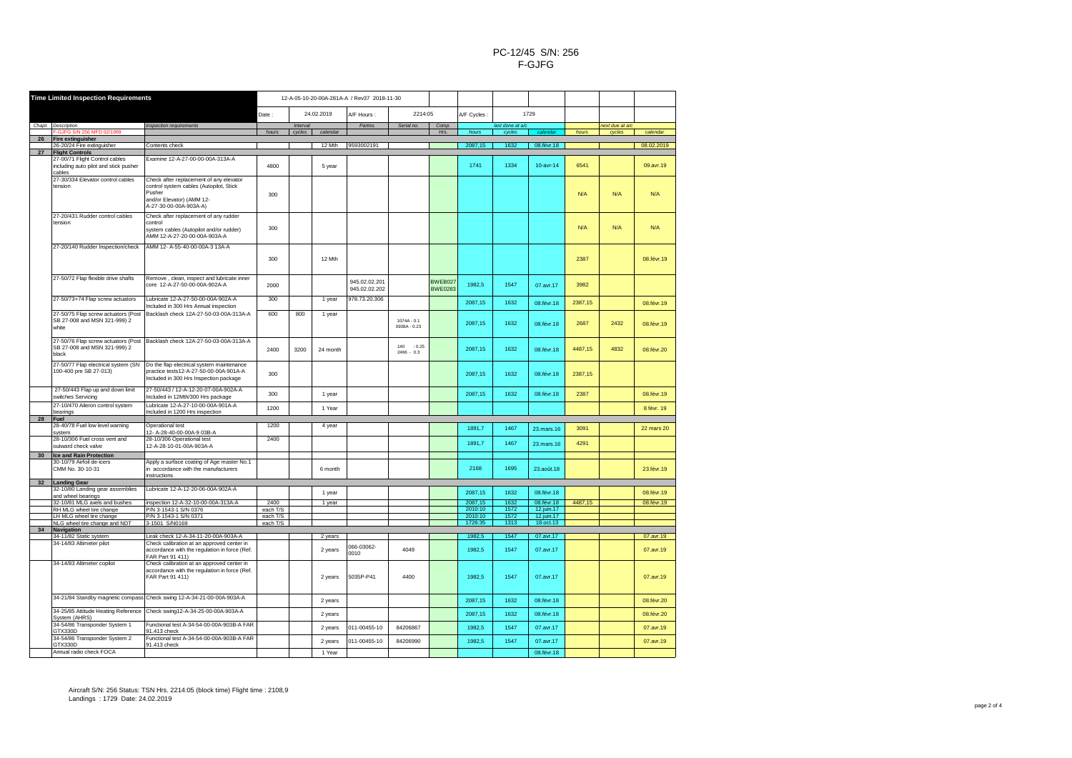| <b>Time Limited Inspection Requirements</b> |                                                                     | 12-A-05-10-20-00A-281A-A / Rev37 2018-11-30                                 |                  |                       |          |               |                |                |                    |                 |                          |         |                 |            |
|---------------------------------------------|---------------------------------------------------------------------|-----------------------------------------------------------------------------|------------------|-----------------------|----------|---------------|----------------|----------------|--------------------|-----------------|--------------------------|---------|-----------------|------------|
|                                             |                                                                     | 24.02.2019<br>Date:                                                         |                  | 2214:05<br>A/F Hours: |          |               | A/F Cycles:    |                | 1729               |                 |                          |         |                 |            |
|                                             | Chapt. Description                                                  |                                                                             |                  | Interval              |          | Partno.       | Serial no.     | Comp.          |                    | last done at a/ |                          |         | next due at a/c |            |
|                                             | -GJFG S/N 256 MFD 02/199!                                           | Inspection requirements                                                     | hours            | cycles                | calendar |               |                | Hrs.           | hours              | cycles          | calenda                  | hours   | cycles          | calendar   |
| 26                                          | Fire extinguisher                                                   |                                                                             |                  |                       |          |               |                |                |                    |                 |                          |         |                 |            |
| 27                                          | 26-20/24 Fire extinguisher<br><b>Flight Controls</b>                | Contents check                                                              |                  |                       | 12 Mth   | 9593002191    |                |                | 2087,15            | 1632            | 08.févr.18               |         |                 | 08.02.2019 |
|                                             | 27-00/71 Flight Control cables                                      | Examine 12-A-27-00-00-00A-313A-A                                            |                  |                       |          |               |                |                |                    |                 |                          |         |                 |            |
|                                             | including auto pilot and stick pusher<br>cables                     |                                                                             | 4800             |                       | 5 year   |               |                |                | 1741               | 1334            | $10$ -avr-14             | 6541    |                 | 09.avr.19  |
|                                             | 27-30/334 Elevator control cables                                   | Check after replacement of any elevator                                     |                  |                       |          |               |                |                |                    |                 |                          |         |                 |            |
|                                             | tension                                                             | control system cables (Autopilot, Stick                                     |                  |                       |          |               |                |                |                    |                 |                          |         |                 |            |
|                                             |                                                                     | Pusher<br>and/or Elevator) (AMM 12-                                         | 300              |                       |          |               |                |                |                    |                 |                          | N/A     | N/A             | N/A        |
|                                             |                                                                     | A-27-30-00-00A-903A-A)                                                      |                  |                       |          |               |                |                |                    |                 |                          |         |                 |            |
|                                             | 27-20/431 Rudder control cables                                     | Check after replacement of any rudder                                       |                  |                       |          |               |                |                |                    |                 |                          |         |                 |            |
|                                             | tension                                                             | control                                                                     | 300              |                       |          |               |                |                |                    |                 |                          | N/A     | N/A             | N/A        |
|                                             |                                                                     | system cables (Autopilot and/or rudder)<br>AMM 12-A-27-20-00-00A-903A-A     |                  |                       |          |               |                |                |                    |                 |                          |         |                 |            |
|                                             | 27-20/140 Rudder Inspection/check                                   | AMM 12- A-55-40-00-00A-3 13A-A                                              |                  |                       |          |               |                |                |                    |                 |                          |         |                 |            |
|                                             |                                                                     |                                                                             |                  |                       |          |               |                |                |                    |                 |                          |         |                 |            |
|                                             |                                                                     |                                                                             | 300              |                       | 12 Mth   |               |                |                |                    |                 |                          | 2387    |                 | 08.févr.19 |
|                                             |                                                                     |                                                                             |                  |                       |          |               |                |                |                    |                 |                          |         |                 |            |
|                                             | 27-50/72 Flap flexible drive shafts                                 | Remove, clean, inspect and lubricate inner<br>core 12-A-27-50-00-00A-902A-A |                  |                       |          | 945.02.02.201 |                | BWEB027        |                    |                 |                          |         |                 |            |
|                                             |                                                                     |                                                                             | 2000             |                       |          | 945.02.02.202 |                | <b>BWE0283</b> | 1982.5             | 1547            | 07.avr.17                | 3982    |                 |            |
|                                             | 27-50/73+74 Flap screw actuators                                    | Lubricate 12-A-27-50-00-00A-902A-A                                          | 300              |                       | 1 year   | 978.73.20.306 |                |                | 2087,15            | 1632            |                          | 2387,15 |                 |            |
|                                             |                                                                     | Included in 300 Hrs Annual inspection                                       |                  |                       |          |               |                |                |                    |                 | 08.févr.18               |         |                 | 08.févr.19 |
|                                             | 27-50/75 Flap screw actuators (Post<br>SB 27-008 and MSN 321-999) 2 | Backlash check 12A-27-50-03-00A-313A-A                                      | 600              | 800                   | 1 year   |               | $1074A - 0.1$  |                |                    |                 |                          |         |                 |            |
|                                             | white                                                               |                                                                             |                  |                       |          |               | 0938A - 0.23   |                | 2087,15            | 1632            | 08.févr.18               | 2687    | 2432            | 08.févr.19 |
|                                             |                                                                     |                                                                             |                  |                       |          |               |                |                |                    |                 |                          |         |                 |            |
|                                             | 27-50/76 Flap screw actuators (Post<br>SB 27-008 and MSN 321-999) 2 | Backlash check 12A-27-50-03-00A-313A-A                                      | 2400             | 3200                  |          |               | 140<br>$-0.25$ |                | 2087.15            | 1632            | 08.févr.18               | 4487,15 | 4832            |            |
|                                             | black                                                               |                                                                             |                  |                       | 24 month |               | $2466 - 0.3$   |                |                    |                 |                          |         |                 | 08.févr.20 |
|                                             | 27-50/77 Flap electrical system (SN                                 | Do the flap electrical system maintenance                                   |                  |                       |          |               |                |                |                    |                 |                          |         |                 |            |
|                                             | 100-400 pre SB 27-013)                                              | practice tests12-A-27-50-00-00A-901A-A                                      | 300              |                       |          |               |                |                | 2087.15            | 1632            | 08.févr.18               | 2387,15 |                 |            |
|                                             |                                                                     | Included in 300 Hrs Inspection package                                      |                  |                       |          |               |                |                |                    |                 |                          |         |                 |            |
|                                             | 27-50/443 Flap up and down limit<br>switches Servicing              | 27-50/443 / 12-A-12-20-07-00A-902A-A<br>Included in 12Mth/300 Hrs package   | 300              |                       | 1 year   |               |                |                | 2087,15            | 1632            | 08.févr.18               | 2387    |                 | 08.févr.19 |
|                                             | 27-10/470 Aileron control system                                    | Lubricate 12-A-27-10-00-00A-901A-A                                          |                  |                       |          |               |                |                |                    |                 |                          |         |                 |            |
|                                             | bearings                                                            | Included in 1200 Hrs inspection                                             | 1200             |                       | 1 Year   |               |                |                |                    |                 |                          |         |                 | 8 févr. 19 |
| 28                                          | Fuel<br>28-40/78 Fuel low level warning                             | Operational test                                                            | 1200             |                       | 4 year   |               |                |                |                    |                 |                          |         |                 |            |
|                                             | system                                                              | 12- A-28-40-00-00A-9 03B-A                                                  |                  |                       |          |               |                |                | 1891.7             | 1467            | 23.mars.16               | 3091    |                 | 22 mars 20 |
|                                             | 28-10/306 Fuel cross vent and                                       | 28-10/306 Operational test                                                  | 2400             |                       |          |               |                |                | 1891.7             | 1467            | 23.mars.16               | 4291    |                 |            |
|                                             | outward check valve                                                 | 12-A-28-10-01-00A-903A-A                                                    |                  |                       |          |               |                |                |                    |                 |                          |         |                 |            |
| 30                                          | Ice and Rain Protection<br>30-10/79 Airfoil de-icers                | Apply a surface coating of Age master No.1                                  |                  |                       |          |               |                |                |                    |                 |                          |         |                 |            |
|                                             | CMM No. 30-10-31                                                    | in accordance with the manufacturers                                        |                  |                       | 6 month  |               |                |                | 2168               | 1695            | 23.août.18               |         |                 | 23.févr.19 |
|                                             |                                                                     | instructions                                                                |                  |                       |          |               |                |                |                    |                 |                          |         |                 |            |
| 32                                          | <b>Landing Gear</b><br>32-10/80 Landing gear assemblies             | Lubricate 12-A-12-20-06-00A-902A-A                                          |                  |                       |          |               |                |                |                    |                 |                          |         |                 |            |
|                                             | and wheel bearings                                                  |                                                                             |                  |                       | 1 year   |               |                |                | 2087,15            | 1632            | 08.févr.18               |         |                 | 08.févr.19 |
|                                             | 32-10/81 MLG axels and bushes<br>RH MLG wheel tire change           | inspection 12-A-32-10-00-00A-313A-A<br>P/N 3-1543-1 S/N 0376                | 2400<br>each T/S |                       | 1 year   |               |                |                | 2087,15<br>2010:10 | 1632<br>1572    | 08.févr.18<br>12.juin.17 | 4487,15 |                 | 08.févr.19 |
|                                             | LH MLG wheel tire change                                            | P/N 3-1543-1 S/N 0371                                                       | each T/S         |                       |          |               |                |                | 2010:10            | 1572            | 12.juin.17               |         |                 |            |
|                                             | NLG wheel tire change and NDT                                       | 3-1501 S/N0169                                                              | each T/S         |                       |          |               |                |                | 1726:35            | 1313            | 18.oct.13                |         |                 |            |
| 34                                          | Navigation<br>34-11/82 Static system                                | Leak check 12-A-34-11-20-00A-903A-A                                         |                  |                       | 2 years  |               |                |                | 1982,5             | 1547            | 07.avr.17                |         |                 | 07.avr.19  |
|                                             | 34-14/83 Altimeter pilot                                            | Check calibration at an approved center in                                  |                  |                       |          | 066-03062-    |                |                |                    |                 |                          |         |                 |            |
|                                             |                                                                     | accordance with the regulation in force (Ref.<br>FAR Part 91 411)           |                  |                       | 2 years  | 0010          | 4049           |                | 1982.5             | 1547            | 07.avr.17                |         |                 | 07.avr.19  |
|                                             | 34-14/83 Altimeter copilot                                          | Check calibration at an approved center in                                  |                  |                       |          |               |                |                |                    |                 |                          |         |                 |            |
|                                             |                                                                     | accordance with the regulation in force (Ref.                               |                  |                       |          |               |                |                |                    |                 |                          |         |                 |            |
|                                             |                                                                     | FAR Part 91 411)                                                            |                  |                       | 2 years  | 5035P-P41     | 4400           |                | 1982,5             | 1547            | 07.avr.17                |         |                 | 07.avr.19  |
|                                             |                                                                     |                                                                             |                  |                       |          |               |                |                |                    |                 |                          |         |                 |            |
|                                             |                                                                     | 34-21/84 Standby magnetic compass Check swing 12-A-34-21-00-00A-903A-A      |                  |                       | 2 years  |               |                |                | 2087,15            | 1632            | 08.févr.18               |         |                 | 08.févr.20 |
|                                             | 34-25/85 Attitude Heating Reference                                 | Check swing12-A-34-25-00-00A-903A-A                                         |                  |                       | 2 years  |               |                |                | 2087,15            | 1632            | 08.févr.18               |         |                 | 08.févr.20 |
|                                             | System (AHRS)                                                       |                                                                             |                  |                       |          |               |                |                |                    |                 |                          |         |                 |            |
|                                             | 34-54/86 Transponder System 1<br>GTX330D                            | Functional test A-34-54-00-00A-903B-A FAR<br>91.413 check                   |                  |                       | 2 years  | 011-00455-10  | 84206867       |                | 1982,5             | 1547            | 07.avr.17                |         |                 | 07.avr.19  |
|                                             | 34-54/86 Transponder System 2                                       | Functional test A-34-54-00-00A-903B-A FAR                                   |                  |                       | 2 years  | 011-00455-10  | 84206990       |                | 1982,5             | 1547            | 07.avr.17                |         |                 | 07.avr.19  |
|                                             | GTX330D<br>Annual radio check FOCA                                  | 91.413 check                                                                |                  |                       | 1 Year   |               |                |                |                    |                 | 08.févr.18               |         |                 |            |
|                                             |                                                                     |                                                                             |                  |                       |          |               |                |                |                    |                 |                          |         |                 |            |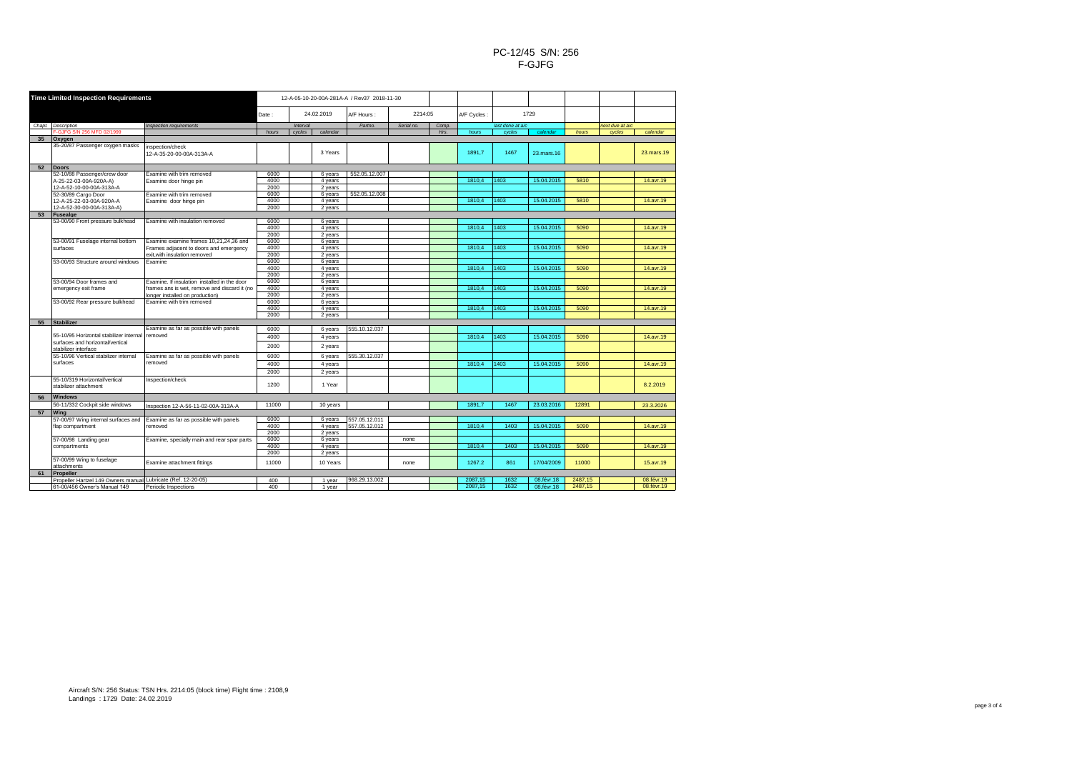| <b>Time Limited Inspection Requirements</b> |                                                               | 12-A-05-10-20-00A-281A-A / Rev37 2018-11-30  |                     |          |          |               |            |       |             |                  |            |         |                 |             |
|---------------------------------------------|---------------------------------------------------------------|----------------------------------------------|---------------------|----------|----------|---------------|------------|-------|-------------|------------------|------------|---------|-----------------|-------------|
|                                             |                                                               |                                              | 24.02.2019<br>Date: |          |          | A/F Hours:    | 2214:05    |       | A/F Cycles: | 1729             |            |         |                 |             |
|                                             | Chapt. Description                                            | <b>Inspection requirements</b>               |                     | Interval |          | Partno.       | Serial no. | Comp. |             | last done at a/c |            |         | next due at a/c |             |
|                                             | -GJFG S/N 256 MFD 02/1999                                     |                                              | hours               | cycles   | calendar |               |            | Hrs.  | hours       | cycles           | calendar   | hours   | cycles          | calendar    |
| 35                                          | Oxygen                                                        |                                              |                     |          |          |               |            |       |             |                  |            |         |                 |             |
|                                             | 35-20/87 Passenger oxygen masks                               | inspection/check<br>12-A-35-20-00-00A-313A-A |                     |          | 3 Years  |               |            |       | 1891.7      | 1467             | 23.mars.16 |         |                 | 23.mars.19  |
| 52                                          | Doors                                                         |                                              |                     |          |          |               |            |       |             |                  |            |         |                 |             |
|                                             | 52-10/88 Passenger/crew door                                  | Examine with trim removed                    | 6000                |          | 6 years  | 552.05.12.007 |            |       |             |                  |            |         |                 |             |
|                                             | A-25-22-03-00A-920A-A)                                        | Examine door hinge pin                       | 4000                |          | 4 years  |               |            |       | 1810.4      | 1403             | 15.04.2015 | 5810    |                 | 14.avr.19   |
|                                             | 12-A-52-10-00-00A-313A-A                                      |                                              | 2000                |          | 2 years  |               |            |       |             |                  |            |         |                 |             |
|                                             | 52-30/89 Cargo Door                                           | Examine with trim removed                    | 6000                |          | 6 years  | 552.05.12.008 |            |       |             |                  |            |         |                 |             |
|                                             | 12-A-25-22-03-00A-920A-A                                      | Examine door hinge pin                       | 4000                |          | 4 years  |               |            |       | 1810.4      | 1403             | 15.04.2015 | 5810    |                 | 14.avr.19   |
|                                             | 12-A-52-30-00-00A-313A-A)                                     |                                              | 2000                |          | 2 years  |               |            |       |             |                  |            |         |                 |             |
| 53                                          | Fusealge                                                      |                                              |                     |          |          |               |            |       |             |                  |            |         |                 |             |
|                                             | 53-00/90 Front pressure bulkhead                              | Examine with insulation removed              | 6000                |          | 6 years  |               |            |       |             |                  |            |         |                 |             |
|                                             |                                                               |                                              | 4000                |          | 4 years  |               |            |       | 1810.4      | 1403             | 15.04.2015 | 5090    |                 | 14.avr.19   |
|                                             |                                                               |                                              | 2000                |          | 2 years  |               |            |       |             |                  |            |         |                 |             |
|                                             | 53-00/91 Fuselage internal bottom                             | Examine examine frames 10,21,24,36 and       | 6000                |          | 6 years  |               |            |       |             |                  |            |         |                 |             |
|                                             | surfaces                                                      | Frames adjacent to doors and emergency       | 4000                |          | 4 years  |               |            |       | 1810.4      | 1403             | 15.04.2015 | 5090    |                 | 14.avr.19   |
|                                             |                                                               | exit.with insulation removed                 | 2000                |          | 2 years  |               |            |       |             |                  |            |         |                 |             |
|                                             | 53-00/93 Structure around windows                             | <b>Fxamine</b>                               | 6000                |          | 6 years  |               |            |       |             |                  |            |         |                 |             |
|                                             |                                                               |                                              | 4000                |          | 4 years  |               |            |       | 1810.4      | 1403             | 15.04.2015 | 5090    |                 | 14.avr.19   |
|                                             |                                                               |                                              | 2000                |          | 2 years  |               |            |       |             |                  |            |         |                 |             |
|                                             |                                                               | Examine. If insulation installed in the door | 6000                |          | 6 years  |               |            |       |             |                  |            |         |                 |             |
|                                             | 53-00/94 Door frames and                                      |                                              | 4000                |          |          |               |            |       | 1810.4      | 1403             | 15.04.2015 | 5090    |                 |             |
|                                             | emergency exit frame                                          | frames ans is wet, remove and discard it (no |                     |          | 4 years  |               |            |       |             |                  |            |         |                 | 14.avr.19   |
|                                             |                                                               | longer installed on production)              | 2000                |          | 2 years  |               |            |       |             |                  |            |         |                 |             |
|                                             | 53-00/92 Rear pressure bulkhead                               | Examine with trim removed                    | 6000                |          | 6 years  |               |            |       |             |                  |            |         |                 |             |
|                                             |                                                               |                                              | 4000                |          | 4 years  |               |            |       | 1810.4      | 1403             | 15.04.2015 | 5090    |                 | 14.avr.19   |
|                                             |                                                               |                                              | 2000                |          | 2 years  |               |            |       |             |                  |            |         |                 |             |
| 55                                          | Stabilizer                                                    |                                              |                     |          |          |               |            |       |             |                  |            |         |                 |             |
|                                             |                                                               | Examine as far as possible with panels       | 6000                |          | 6 years  | 555.10.12.037 |            |       |             |                  |            |         |                 |             |
|                                             | 55-10/95 Horizontal stabilizer internal                       | removed                                      | 4000                |          | 4 years  |               |            |       | 1810.4      | 1403             | 15.04.2015 | 5090    |                 | 14.avr.19   |
|                                             | surfaces and horizontal/vertical                              |                                              | 2000                |          |          |               |            |       |             |                  |            |         |                 |             |
|                                             | stabilizer interface                                          |                                              |                     |          | 2 years  |               |            |       |             |                  |            |         |                 |             |
|                                             | 55-10/96 Vertical stabilizer internal                         | Examine as far as possible with panels       | 6000                |          | 6 years  | 555.30.12.037 |            |       |             |                  |            |         |                 |             |
|                                             | surfaces                                                      | removed                                      | 4000                |          | 4 years  |               |            |       | 1810.4      | 1403             | 15.04.2015 | 5090    |                 | 14.avr.19   |
|                                             |                                                               |                                              | 2000                |          |          |               |            |       |             |                  |            |         |                 |             |
|                                             |                                                               |                                              |                     |          | 2 years  |               |            |       |             |                  |            |         |                 |             |
|                                             | 55-10/319 Horizontal/vertical<br>stabilizer attachment        | Inspection/check                             | 1200                |          | 1 Year   |               |            |       |             |                  |            |         |                 | 8.2.2019    |
| 56                                          | <b>Windows</b>                                                |                                              |                     |          |          |               |            |       |             |                  |            |         |                 |             |
|                                             | 56-11/332 Cockpit side windows                                | Inspection 12-A-56-11-02-00A-313A-A          | 11000               |          | 10 years |               |            |       | 1891.7      | 1467             | 23.03.2016 | 12891   |                 | 23.3.2026   |
| 57                                          | Wina                                                          |                                              |                     |          |          |               |            |       |             |                  |            |         |                 |             |
|                                             | 57-00/97 Wing internal surfaces and                           | Examine as far as possible with panels       | 6000                |          | 6 years  | 557.05.12.011 |            |       |             |                  |            |         |                 |             |
|                                             | flap compartment                                              | removed                                      | 4000                |          | 4 years  | 557.05.12.012 |            |       | 1810.4      | 1403             | 15.04.2015 | 5090    |                 | 14.avr.19   |
|                                             |                                                               |                                              | 2000                |          | 2 years  |               |            |       |             |                  |            |         |                 |             |
|                                             |                                                               |                                              | 6000                |          | 6 years  |               |            |       |             |                  |            |         |                 |             |
|                                             | 57-00/98 Landing gear                                         | Examine, specially main and rear spar parts  | 4000                |          |          |               | none       |       | 1810.4      | 1403             | 15.04.2015 | 5090    |                 | 14.avr.19   |
|                                             | compartments                                                  |                                              |                     |          | 4 years  |               |            |       |             |                  |            |         |                 |             |
|                                             |                                                               |                                              | 2000                |          | 2 years  |               |            |       |             |                  |            |         |                 |             |
|                                             | 57-00/99 Wing to fuselage                                     | Examine attachment fittings                  | 11000               |          | 10 Years |               | none       |       | 1267.2      | 861              | 17/04/2009 | 11000   |                 | 15, avr. 19 |
|                                             | attachments                                                   |                                              |                     |          |          |               |            |       |             |                  |            |         |                 |             |
| 61                                          | Propeller                                                     |                                              |                     |          |          |               |            |       |             |                  |            |         |                 |             |
|                                             | Propeller Hartzel 149 Owners manual Lubricate (Ref. 12-20-05) |                                              | 400                 |          | 1 year   | 968.29.13.002 |            |       | 2087.15     | 1632             | 08.févr.18 | 2487.15 |                 | 08.févr.19  |
|                                             | 61-00/456 Owner's Manual 149                                  | Periodic Inspections                         | 400                 |          | 1 year   |               |            |       | 2087,15     | 1632             | 08.févr.18 | 2487,15 |                 | 08.févr.19  |